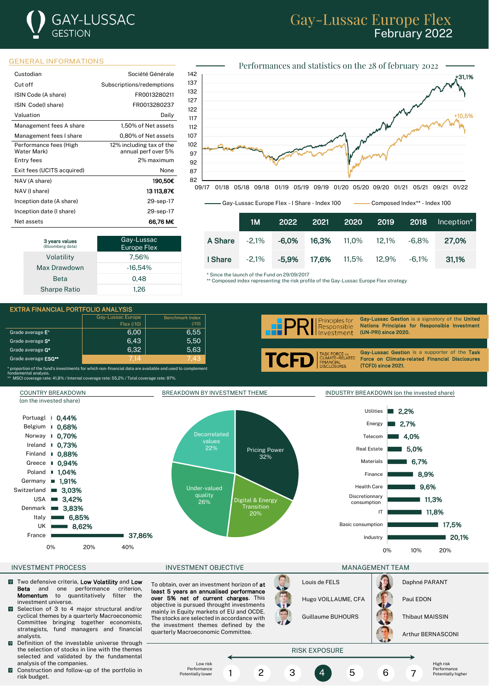# **GAY-LUSSAC** GESTION

## Gay-Lussac Europe Flex February 2022

### GENERAL INFORMATIONS

| Custodian                             | Société Générale                                |
|---------------------------------------|-------------------------------------------------|
| Cut off                               | Subscriptions/redemptions                       |
| ISIN Code (A share)                   | FR0013280211                                    |
| ISIN Code(I share)                    | FR0013280237                                    |
| Valuation                             | Daily                                           |
| Management fees A share               | 1,50% of Net assets                             |
| Management fees I share               | 0.80% of Net assets                             |
| Performance fees (High<br>Water Mark) | 12% including tax of the<br>annual perf over 5% |
| Entry fees                            | 2% maximum                                      |
| Exit fees (UCITS acquired)            | None                                            |
| NAV (A share)                         | 190,50€                                         |
| NAV (I share)                         | 13 113.87C                                      |
| Inception date (A share)              | 29-sep-17                                       |
| Inception date (I share)              | 29-sep-17                                       |
| Net assets                            | 66.76 M€                                        |

| 3 years values<br>(Bloomberg data) | Gay-Lussac<br><b>Europe Flex</b> |  |
|------------------------------------|----------------------------------|--|
| Volatility                         | 7,56%                            |  |
| Max Drawdown                       | $-16.54%$                        |  |
| <b>Beta</b>                        | 0.48                             |  |
| <b>Sharpe Ratio</b>                | 1.26                             |  |



Gay-Lussac Europe Flex - I Share - Index 100 Composed Index\*\* - Index 100

| טטו א | - Composed maex - - maex Too |  |
|-------|------------------------------|--|
|       |                              |  |

since 2020.

ince 2021.

sac Gestion is a signatory of the United Principles for Responsible Investment

sac Gestion is a supporter of the Task n Climate-related Financial Disclosures

|         | 1M       | 2022     | 2021  | 2020 2019                 | 2018  | Inception* |
|---------|----------|----------|-------|---------------------------|-------|------------|
| A Share | $-2.1\%$ | -6.0%    |       | <b>16,3%</b> 11,0%  12,1% | -6.8% | 27.0%      |
| I Share | $-2.1\%$ | $-5.9\%$ | 17.6% | 11,5% 12,9% -6,1%         |       | 31.1%      |

\* Since the launch of the Fund on 29/09/2017

\*\* Composed index representing the risk profile of the Gay-Lussac Europe Flex strategy

### EXTRA FINANCIAL PORTFOLIO ANALYSIS

| $\mathbf{L}$ . The state of the state of the state of the state of the state of the state of the state of the state of the state of the state of the state of the state of the state of the state of the state of the state of th |                                                                                                                                  |                   |                        |  |            |                                               |                |
|-----------------------------------------------------------------------------------------------------------------------------------------------------------------------------------------------------------------------------------|----------------------------------------------------------------------------------------------------------------------------------|-------------------|------------------------|--|------------|-----------------------------------------------|----------------|
|                                                                                                                                                                                                                                   |                                                                                                                                  | Gay-Lussac Europe | <b>Benchmark Index</b> |  |            | rinciples for                                 | Gay-Lus        |
|                                                                                                                                                                                                                                   |                                                                                                                                  | Flex (710)        | (710)                  |  |            | Responsible                                   | <b>Nations</b> |
|                                                                                                                                                                                                                                   | Grade average $E^*$                                                                                                              | 6.00              | 6.55                   |  | <b>ARP</b> |                                               | (UN-PRI)       |
|                                                                                                                                                                                                                                   | Grade average S <sup>*</sup>                                                                                                     | 6.43              | 5,50                   |  |            |                                               |                |
|                                                                                                                                                                                                                                   | Grade average G <sup>*</sup>                                                                                                     | 6.32              | 5,63                   |  |            |                                               | Gav-Lus        |
|                                                                                                                                                                                                                                   | Grade average ESG**                                                                                                              | 7.14              | 7.43                   |  |            | TASK FORCE ON<br>CLIMATE-RELATED<br>FINANCIAL | Force o        |
|                                                                                                                                                                                                                                   | * proportion of the fund's investments for which non-financial data are available and used to complement<br>fondomontal analygia |                   |                        |  |            | <b>DISCLOSURES</b>                            | (TCFD) s       |

fondamental analysis. \*\* MSCI coverage rate: 41,8% / Internal coverage rate: 55,2% / Total coverage rate: 97%.



- **M** Two defensive criteria, **Low Volatility** and Low **Beta** and one performance criterion, Beta and one performance Momentum to quantitatively filter the investment universe.
- Selection of 3 to 4 major structural and/or  $\overline{0}$ cyclical themes by a quarterly Macroeconomic Committee bringing together economists, strategists, fund managers and financial analysts.
- Definition of the investable universe through the selection of stocks in line with the themes selected and validated by the fundamental analysis of the companies.
- $\blacksquare$  Construction and follow-up of the portfolio in risk budget.

To obtain, over an investment horizon of at least 5 years an annualised performance over 5% net of current charges. This objective is pursued throught investments mainly in Equity markets of EU and OCDE. The stocks are selected in accordance with the investment themes defined by the quarterly Macroeconomic Committee.





Arthur BERNASCONI

## RISK EXPOSURE

Low risk Performance Potentially lowe

1 2 3 4 5 6 7

**Performance** Potentially higher

High risk